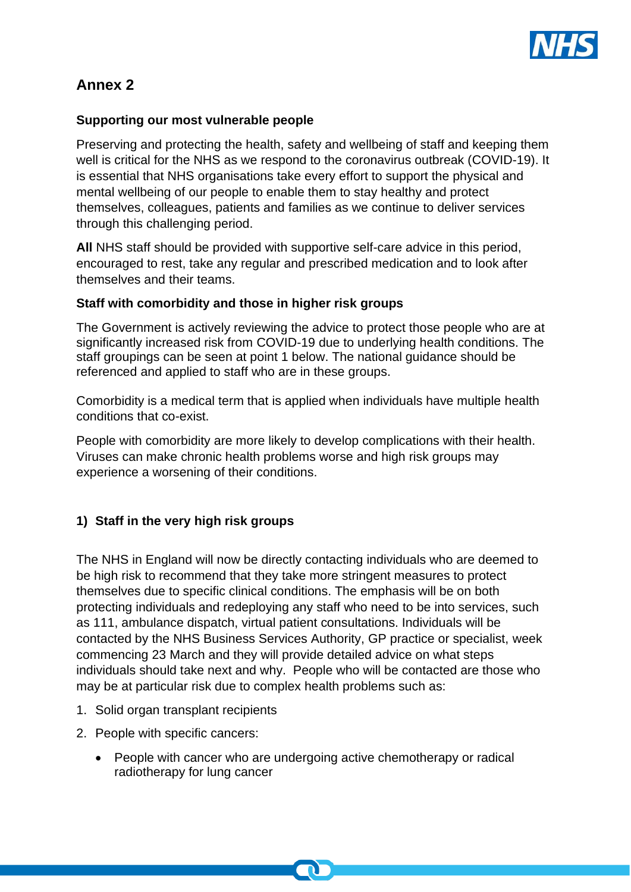

# **Annex 2**

#### **Supporting our most vulnerable people**

Preserving and protecting the health, safety and wellbeing of staff and keeping them well is critical for the NHS as we respond to the coronavirus outbreak (COVID-19). It is essential that NHS organisations take every effort to support the physical and mental wellbeing of our people to enable them to stay healthy and protect themselves, colleagues, patients and families as we continue to deliver services through this challenging period.

**All** NHS staff should be provided with supportive self-care advice in this period, encouraged to rest, take any regular and prescribed medication and to look after themselves and their teams.

#### **Staff with comorbidity and those in higher risk groups**

The Government is actively reviewing the advice to protect those people who are at significantly increased risk from COVID-19 due to underlying health conditions. The staff groupings can be seen at point 1 below. The national guidance should be referenced and applied to staff who are in these groups.

Comorbidity is a medical term that is applied when individuals have multiple health conditions that co-exist.

People with comorbidity are more likely to develop complications with their health. Viruses can make chronic health problems worse and high risk groups may experience a worsening of their conditions.

### **1) Staff in the very high risk groups**

The NHS in England will now be directly contacting individuals who are deemed to be high risk to recommend that they take more stringent measures to protect themselves due to specific clinical conditions. The emphasis will be on both protecting individuals and redeploying any staff who need to be into services, such as 111, ambulance dispatch, virtual patient consultations. Individuals will be contacted by the NHS Business Services Authority, GP practice or specialist, week commencing 23 March and they will provide detailed advice on what steps individuals should take next and why. People who will be contacted are those who may be at particular risk due to complex health problems such as:

- 1. Solid organ transplant recipients
- 2. People with specific cancers:
	- People with cancer who are undergoing active chemotherapy or radical radiotherapy for lung cancer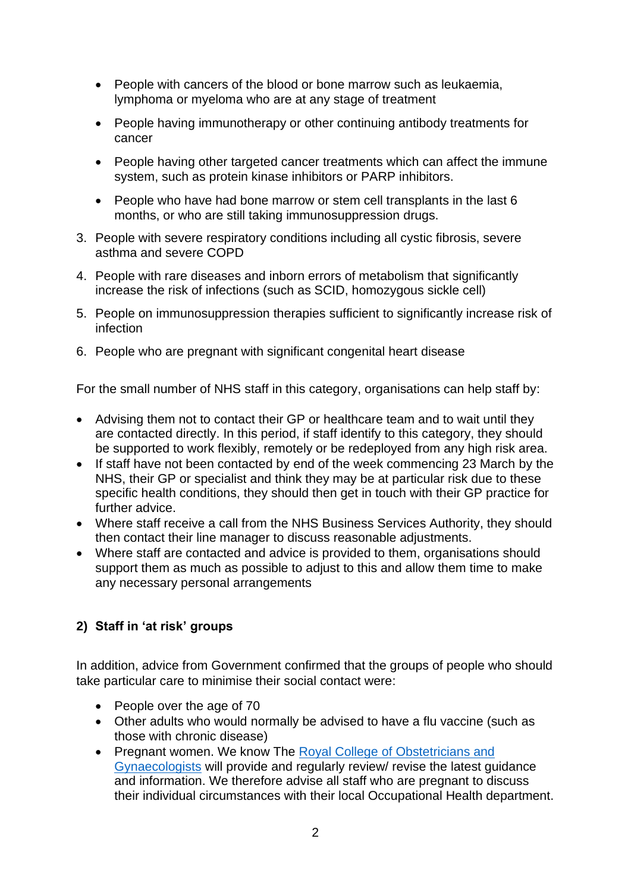- People with cancers of the blood or bone marrow such as leukaemia, lymphoma or myeloma who are at any stage of treatment
- People having immunotherapy or other continuing antibody treatments for cancer
- People having other targeted cancer treatments which can affect the immune system, such as protein kinase inhibitors or PARP inhibitors.
- People who have had bone marrow or stem cell transplants in the last 6 months, or who are still taking immunosuppression drugs.
- 3. People with severe respiratory conditions including all cystic fibrosis, severe asthma and severe COPD
- 4. People with rare diseases and inborn errors of metabolism that significantly increase the risk of infections (such as SCID, homozygous sickle cell)
- 5. People on immunosuppression therapies sufficient to significantly increase risk of infection
- 6. People who are pregnant with significant congenital heart disease

For the small number of NHS staff in this category, organisations can help staff by:

- Advising them not to contact their GP or healthcare team and to wait until they are contacted directly. In this period, if staff identify to this category, they should be supported to work flexibly, remotely or be redeployed from any high risk area.
- If staff have not been contacted by end of the week commencing 23 March by the NHS, their GP or specialist and think they may be at particular risk due to these specific health conditions, they should then get in touch with their GP practice for further advice.
- Where staff receive a call from the NHS Business Services Authority, they should then contact their line manager to discuss reasonable adjustments.
- Where staff are contacted and advice is provided to them, organisations should support them as much as possible to adjust to this and allow them time to make any necessary personal arrangements

## **2) Staff in 'at risk' groups**

In addition, advice from Government confirmed that the groups of people who should take particular care to minimise their social contact were:

- People over the age of 70
- Other adults who would normally be advised to have a flu vaccine (such as those with chronic disease)
- Pregnant women. We know The Royal College of Obstetricians and [Gynaecologists](https://www.rcog.org.uk/en/news/national-guidance-on-managing-coronavirus-infection-in-pregnancy-published/) will provide and regularly review/ revise the latest guidance and information. We therefore advise all staff who are pregnant to discuss their individual circumstances with their local Occupational Health department.